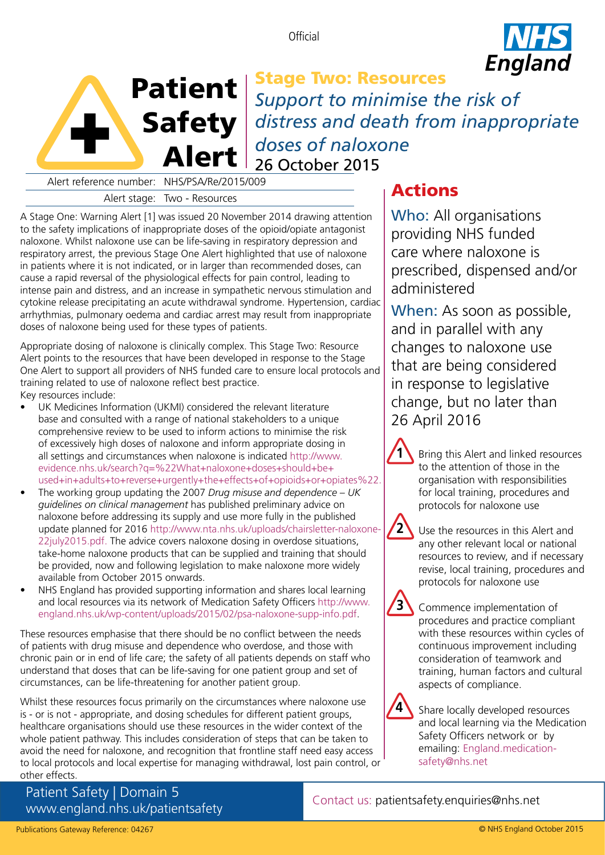**Official** 





Stage Two: Resources *Support to minimise the risk of distress and death from inappropriate doses of naloxone* 26 October 2015

Alert reference number: NHS/PSA/Re/2015/009

Alert stage: Two - Resources

A Stage One: Warning Alert [1] was issued 20 November 2014 drawing attention to the safety implications of inappropriate doses of the opioid/opiate antagonist naloxone. Whilst naloxone use can be life-saving in respiratory depression and respiratory arrest, the previous Stage One Alert highlighted that use of naloxone in patients where it is not indicated, or in larger than recommended doses, can cause a rapid reversal of the physiological effects for pain control, leading to intense pain and distress, and an increase in sympathetic nervous stimulation and cytokine release precipitating an acute withdrawal syndrome. Hypertension, cardiac arrhythmias, pulmonary oedema and cardiac arrest may result from inappropriate doses of naloxone being used for these types of patients.

Appropriate dosing of naloxone is clinically complex. This Stage Two: Resource Alert points to the resources that have been developed in response to the Stage One Alert to support all providers of NHS funded care to ensure local protocols and training related to use of naloxone reflect best practice.

Key resources include:

- UK Medicines Information (UKMI) considered the relevant literature base and consulted with a range of national stakeholders to a unique comprehensive review to be used to inform actions to minimise the risk of excessively high doses of naloxone and inform appropriate dosing in all settings and circumstances when naloxone is indicated [http://www.](http://www.evidence.nhs.uk/Search?q=%22What+naloxone+doses+should+be+used+in+adults+to+reverse+urgently+the+effects+of+opioids+or+opiates%22) evidence.nhs.uk/search?q=%22What+naloxone+doses+should+be+ [used+in+adults+to+reverse+urgently+the+effects+of+opioids+or+opiates%22.](http://www.evidence.nhs.uk/Search?q=%22What+naloxone+doses+should+be+used+in+adults+to+reverse+urgently+the+effects+of+opioids+or+opiates%22)
- The working group updating the 2007 *Drug misuse and dependence UK guidelines on clinical management* has published preliminary advice on naloxone before addressing its supply and use more fully in the published update planned for 2016 [http://www.nta.nhs.uk/uploads/chairsletter-naloxone-](http://www.nta.nhs.uk/uploads/chairsletter-naloxone-22july2015.pdf)[22july2015.pdf.](http://www.nta.nhs.uk/uploads/chairsletter-naloxone-22july2015.pdf) The advice covers naloxone dosing in overdose situations, take-home naloxone products that can be supplied and training that should be provided, now and following legislation to make naloxone more widely available from October 2015 onwards.
- NHS England has provided supporting information and shares local learning and local resources via its network of Medication Safety Officers [http://www.](http://www.england.nhs.uk/wp-content/uploads/2015/02/psa-naloxone-supp-info.pdf) [england.nhs.uk/wp-content/uploads/2015/02/psa-naloxone-supp-info.pdf.](http://www.england.nhs.uk/wp-content/uploads/2015/02/psa-naloxone-supp-info.pdf)

These resources emphasise that there should be no conflict between the needs of patients with drug misuse and dependence who overdose, and those with chronic pain or in end of life care; the safety of all patients depends on staff who understand that doses that can be life-saving for one patient group and set of circumstances, can be life-threatening for another patient group.

Whilst these resources focus primarily on the circumstances where naloxone use is - or is not - appropriate, and dosing schedules for different patient groups, healthcare organisations should use these resources in the wider context of the whole patient pathway. This includes consideration of steps that can be taken to avoid the need for naloxone, and recognition that frontline staff need easy access to local protocols and local expertise for managing withdrawal, lost pain control, or other effects.

Patient Safety | Domain 5 <www.england.nhs.uk/patientsafety>

# Actions

Who: All organisations providing NHS funded care where naloxone is prescribed, dispensed and/or administered

When: As soon as possible, and in parallel with any changes to naloxone use that are being considered in response to legislative change, but no later than 26 April 2016

> Bring this Alert and linked resources to the attention of those in the organisation with responsibilities for local training, procedures and protocols for naloxone use



**3**

**1**

Use the resources in this Alert and any other relevant local or national resources to review, and if necessary revise, local training, procedures and protocols for naloxone use

Commence implementation of procedures and practice compliant with these resources within cycles of continuous improvement including consideration of teamwork and training, human factors and cultural aspects of compliance.



Share locally developed resources and local learning via the Medication Safety Officers network or by emailing: [England.medication](mailto:England.medication-safety@nhs.net)[safety@nhs.net](mailto:England.medication-safety@nhs.net)

Contact us: [patientsafety.enquiries@nhs.net](mailto:patientsafety.enquiries@nhs.net)